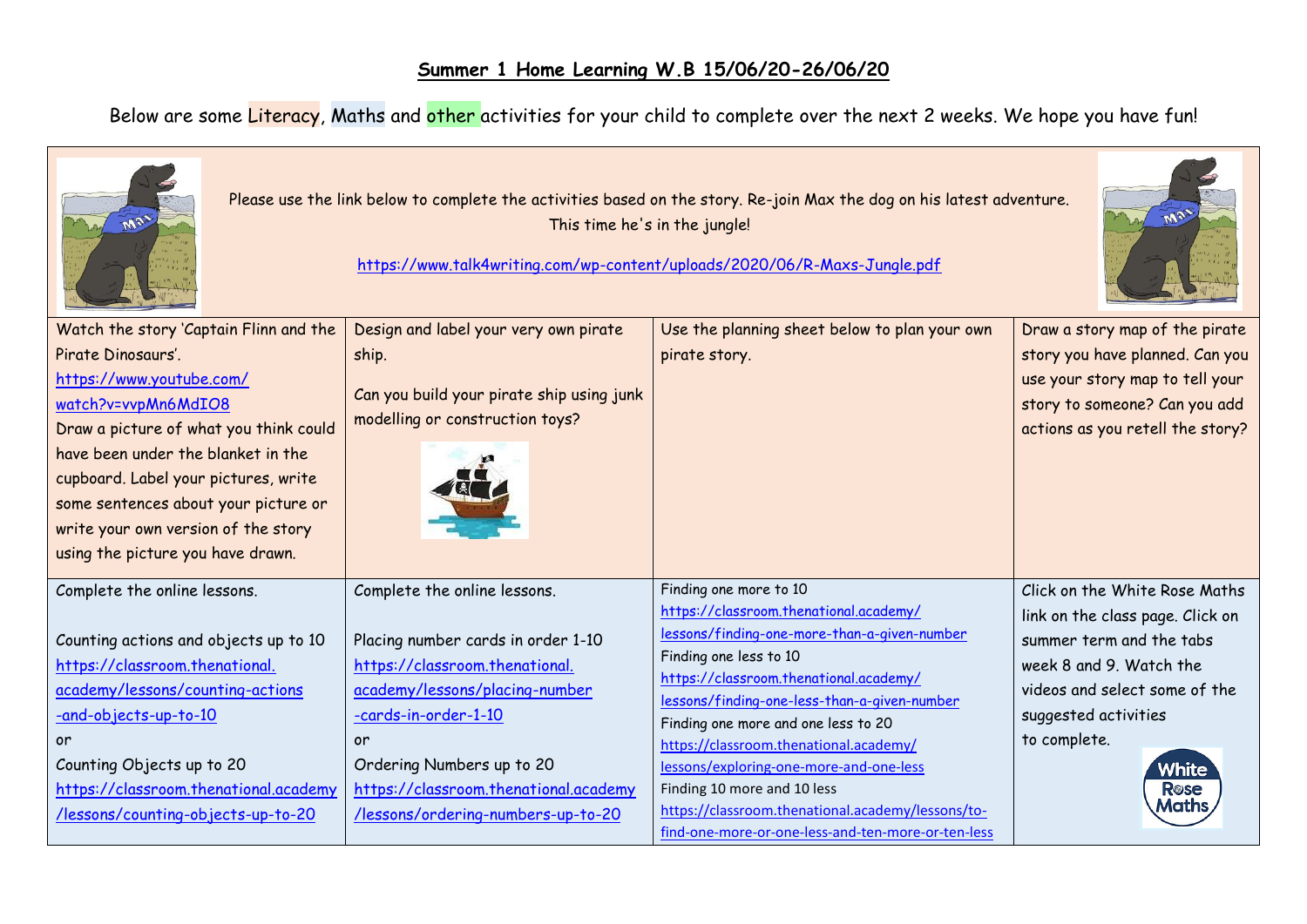Below are some Literacy, Maths and other activities for your child to complete over the next 2 weeks. We hope you have fun!

| Please use the link below to complete the activities based on the story. Re-join Max the dog on his latest adventure.<br>Ma<br>This time he's in the jungle!<br>https://www.talk4writing.com/wp-content/uploads/2020/06/R-Maxs-Jungle.pdf                                                   |                                                                                                                                                                                                                                                  |                                                                                                                                                                                                                                                                                                                                                                                                                                                                                  |                                                                                                                                                                                                    |  |
|---------------------------------------------------------------------------------------------------------------------------------------------------------------------------------------------------------------------------------------------------------------------------------------------|--------------------------------------------------------------------------------------------------------------------------------------------------------------------------------------------------------------------------------------------------|----------------------------------------------------------------------------------------------------------------------------------------------------------------------------------------------------------------------------------------------------------------------------------------------------------------------------------------------------------------------------------------------------------------------------------------------------------------------------------|----------------------------------------------------------------------------------------------------------------------------------------------------------------------------------------------------|--|
| Watch the story 'Captain Flinn and the<br>Pirate Dinosaurs'.                                                                                                                                                                                                                                | Design and label your very own pirate<br>ship.                                                                                                                                                                                                   | Use the planning sheet below to plan your own<br>pirate story.                                                                                                                                                                                                                                                                                                                                                                                                                   | Draw a story map of the pirate<br>story you have planned. Can you                                                                                                                                  |  |
| https://www.youtube.com/<br>watch?v=vvpMn6MdIO8<br>Draw a picture of what you think could<br>have been under the blanket in the<br>cupboard. Label your pictures, write<br>some sentences about your picture or<br>write your own version of the story<br>using the picture you have drawn. | Can you build your pirate ship using junk<br>modelling or construction toys?                                                                                                                                                                     |                                                                                                                                                                                                                                                                                                                                                                                                                                                                                  | use your story map to tell your<br>story to someone? Can you add<br>actions as you retell the story?                                                                                               |  |
| Complete the online lessons.                                                                                                                                                                                                                                                                | Complete the online lessons.                                                                                                                                                                                                                     | Finding one more to 10                                                                                                                                                                                                                                                                                                                                                                                                                                                           | Click on the White Rose Maths                                                                                                                                                                      |  |
| Counting actions and objects up to 10<br>https://classroom.thenational.<br>academy/lessons/counting-actions<br>-and-objects-up-to-10<br>or<br>Counting Objects up to 20<br>https://classroom.thenational.academy<br>/lessons/counting-objects-up-to-20                                      | Placing number cards in order 1-10<br>https://classroom.thenational.<br>academy/lessons/placing-number<br>-cards-in-order-1-10<br>or<br>Ordering Numbers up to 20<br>https://classroom.thenational.academy<br>/lessons/ordering-numbers-up-to-20 | https://classroom.thenational.academy/<br>lessons/finding-one-more-than-a-given-number<br>Finding one less to 10<br>https://classroom.thenational.academy/<br>lessons/finding-one-less-than-a-given-number<br>Finding one more and one less to 20<br>https://classroom.thenational.academy/<br>lessons/exploring-one-more-and-one-less<br>Finding 10 more and 10 less<br>https://classroom.thenational.academy/lessons/to-<br>find-one-more-or-one-less-and-ten-more-or-ten-less | link on the class page. Click on<br>summer term and the tabs<br>week 8 and 9. Watch the<br>videos and select some of the<br>suggested activities<br>to complete.<br>White<br><b>R</b> ose<br>Maths |  |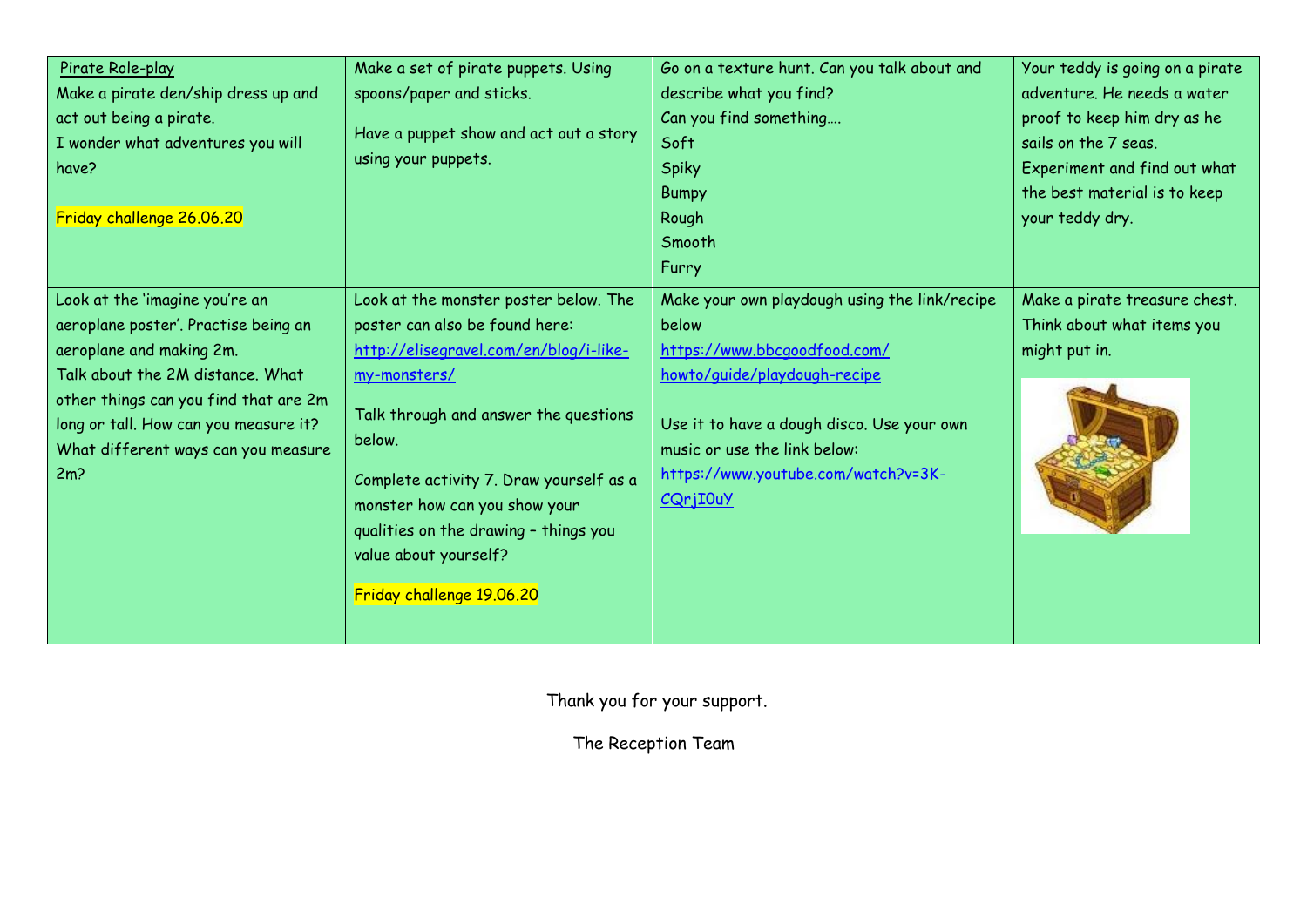| Pirate Role-play<br>Make a pirate den/ship dress up and<br>act out being a pirate.<br>I wonder what adventures you will<br>have?<br>Friday challenge 26.06.20                                                                                                                      | Make a set of pirate puppets. Using<br>spoons/paper and sticks.<br>Have a puppet show and act out a story<br>using your puppets.                                                                                                                                                                                                                                | Go on a texture hunt. Can you talk about and<br>describe what you find?<br>Can you find something<br>Soft<br><b>Spiky</b><br><b>Bumpy</b><br>Rough<br>Smooth<br>Furry                                                                                    | Your teddy is going on a pirate<br>adventure. He needs a water<br>proof to keep him dry as he<br>sails on the 7 seas.<br>Experiment and find out what<br>the best material is to keep<br>your teddy dry. |
|------------------------------------------------------------------------------------------------------------------------------------------------------------------------------------------------------------------------------------------------------------------------------------|-----------------------------------------------------------------------------------------------------------------------------------------------------------------------------------------------------------------------------------------------------------------------------------------------------------------------------------------------------------------|----------------------------------------------------------------------------------------------------------------------------------------------------------------------------------------------------------------------------------------------------------|----------------------------------------------------------------------------------------------------------------------------------------------------------------------------------------------------------|
| Look at the 'imagine you're an<br>aeroplane poster'. Practise being an<br>aeroplane and making 2m.<br>Talk about the 2M distance. What<br>other things can you find that are 2m<br>long or tall. How can you measure it?<br>What different ways can you measure<br>2m <sub>2</sub> | Look at the monster poster below. The<br>poster can also be found here:<br>http://elisegravel.com/en/blog/i-like-<br>my-monsters/<br>Talk through and answer the questions<br>below.<br>Complete activity 7. Draw yourself as a<br>monster how can you show your<br>qualities on the drawing - things you<br>value about yourself?<br>Friday challenge 19.06.20 | Make your own playdough using the link/recipe<br>below<br>https://www.bbcgoodfood.com/<br>howto/quide/playdough-recipe<br>Use it to have a dough disco. Use your own<br>music or use the link below:<br>https://www.youtube.com/watch?v=3K-<br>CQr.jIOuY | Make a pirate treasure chest.<br>Think about what items you<br>might put in.                                                                                                                             |

Thank you for your support.

The Reception Team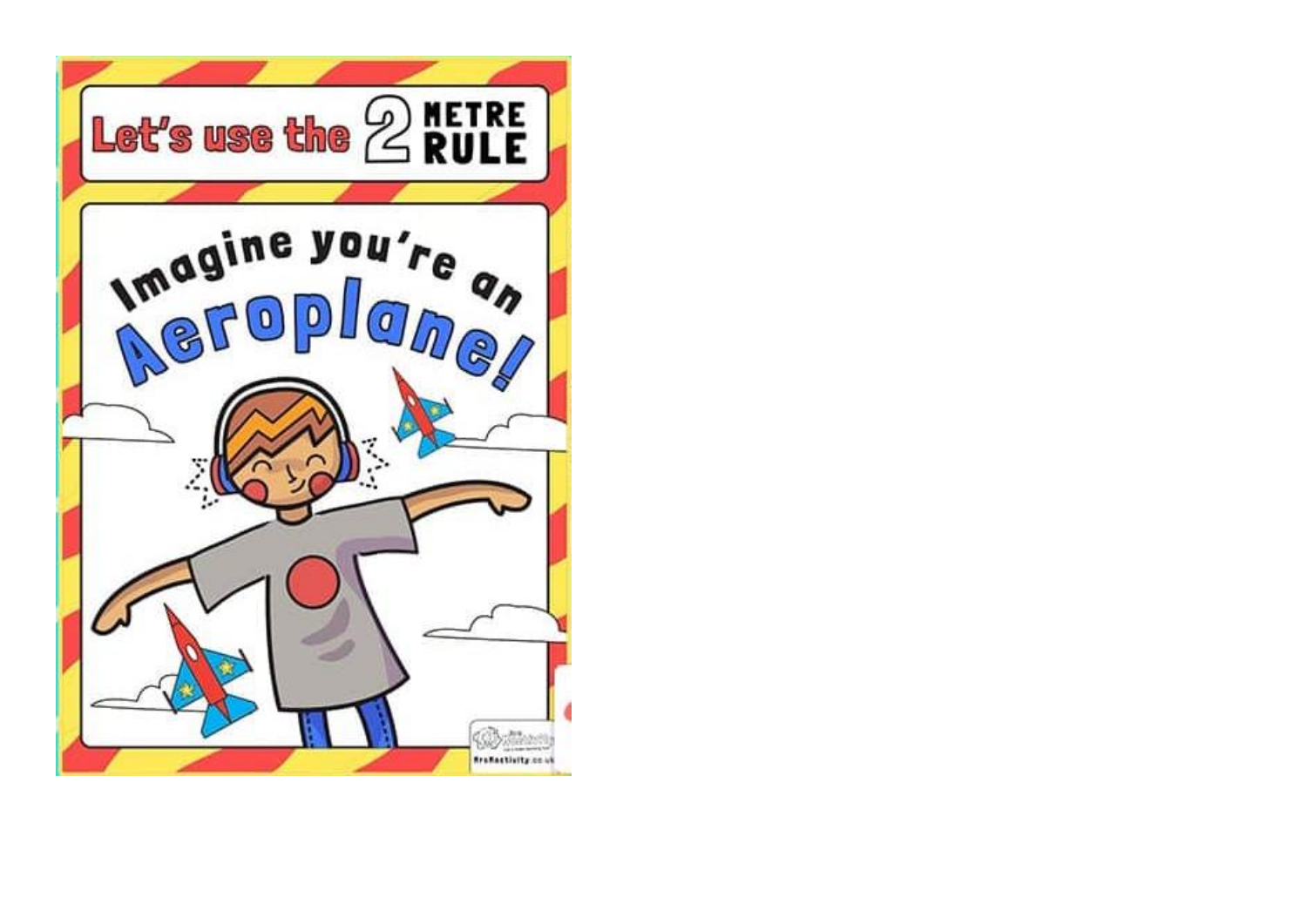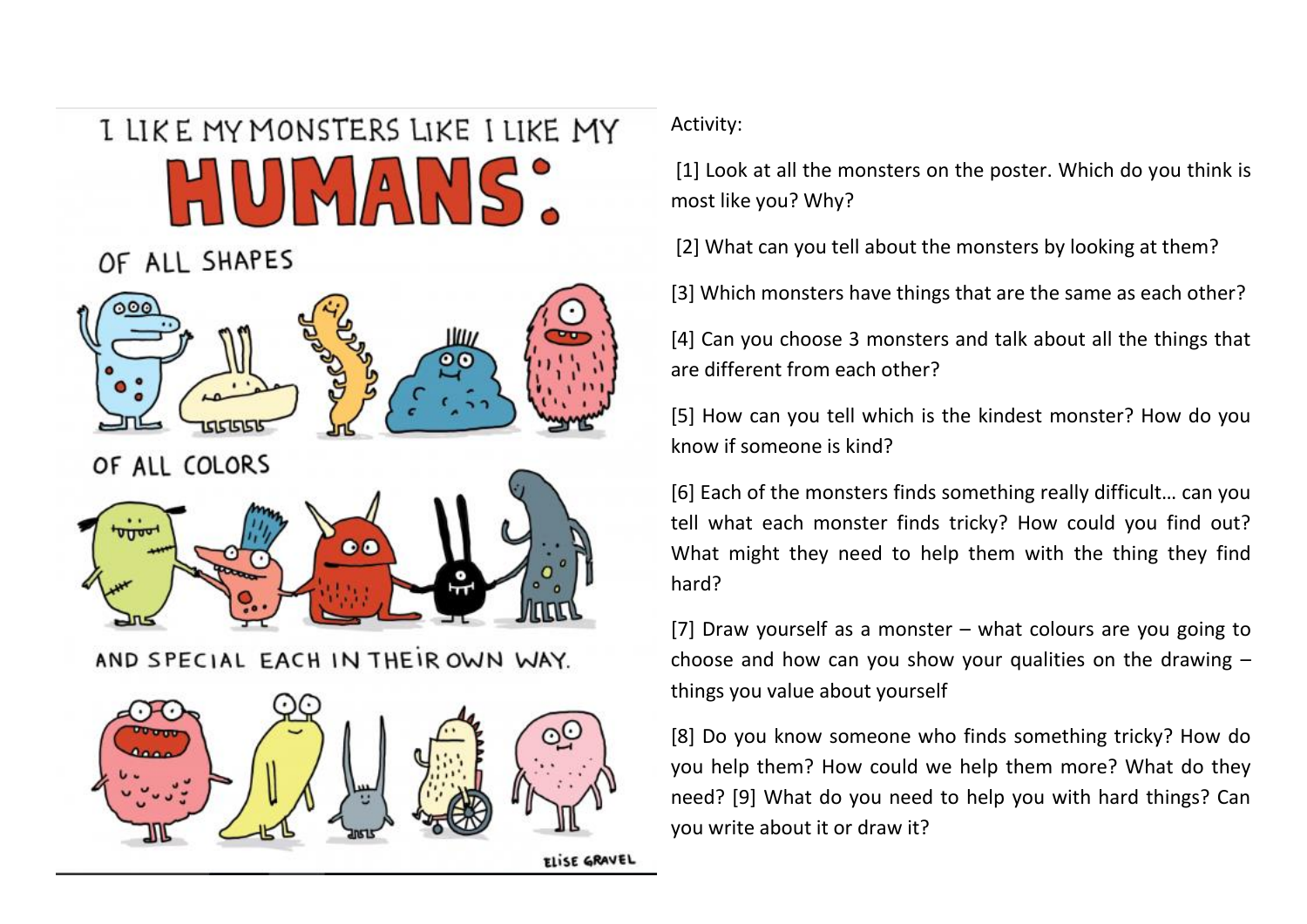## I LIKE MY MONSTERS LIKE I LIKE MY  $\sqrt{2}$

OF ALL SHAPES



OF ALL COLORS



 $\bullet$ 

AND SPECIAL EACH IN THEIR OWN WAY.



Activity:

[1] Look at all the monsters on the poster. Which do you think is most like you? Why?

[2] What can you tell about the monsters by looking at them?

[3] Which monsters have things that are the same as each other?

[4] Can you choose 3 monsters and talk about all the things that are different from each other?

[5] How can you tell which is the kindest monster? How do you know if someone is kind?

[6] Each of the monsters finds something really difficult… can you tell what each monster finds tricky? How could you find out? What might they need to help them with the thing they find hard?

[7] Draw yourself as a monster – what colours are you going to choose and how can you show your qualities on the drawing  $$ things you value about yourself

[8] Do you know someone who finds something tricky? How do you help them? How could we help them more? What do they need? [9] What do you need to help you with hard things? Can you write about it or draw it?

**ELISE GRAVEL**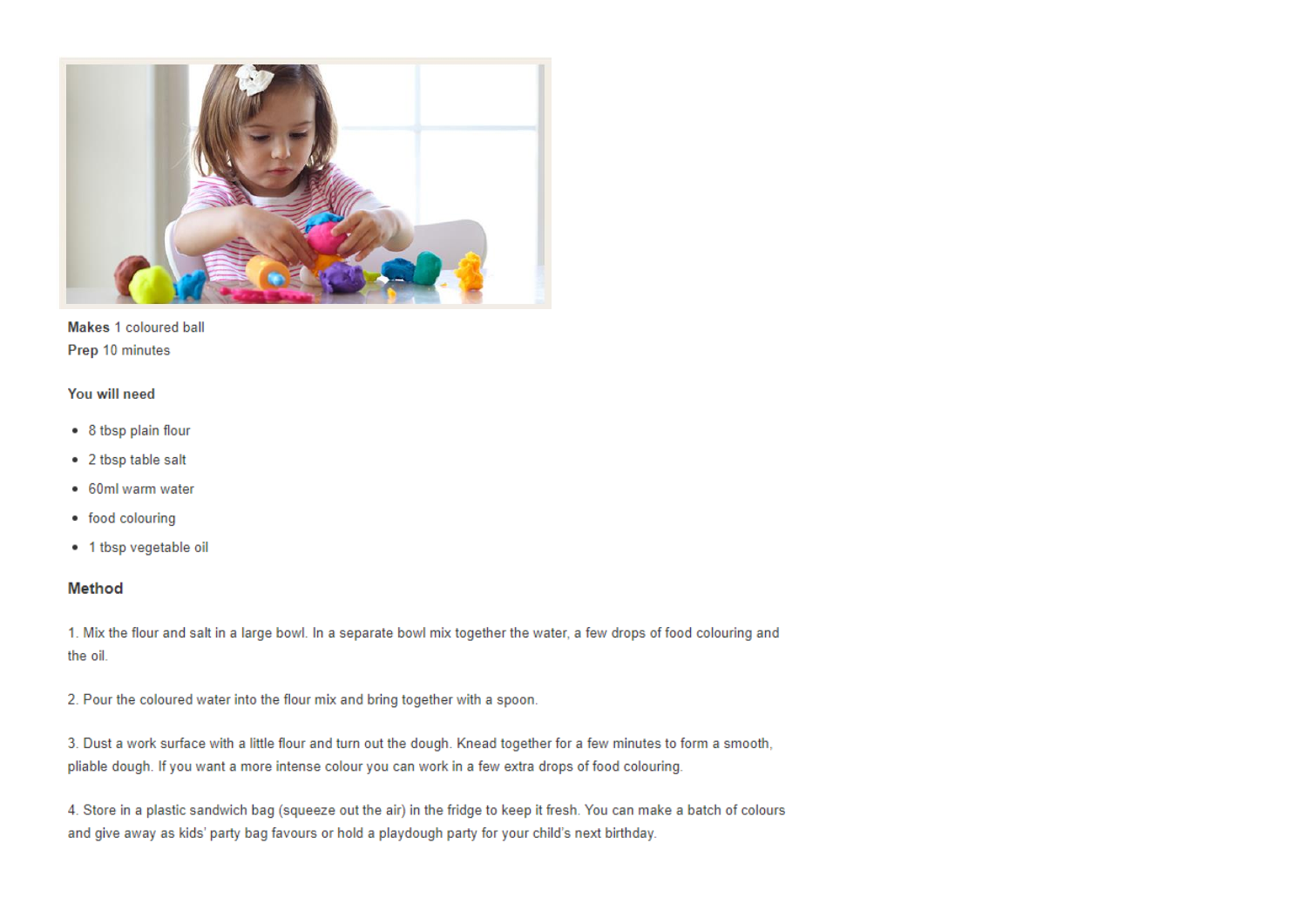

## Makes 1 coloured ball Prep 10 minutes

## You will need

- 8 tbsp plain flour
- 2 tbsp table salt
- 60ml warm water
- food colouring
- · 1 tbsp vegetable oil

## **Method**

1. Mix the flour and salt in a large bowl. In a separate bowl mix together the water, a few drops of food colouring and the oil.

2. Pour the coloured water into the flour mix and bring together with a spoon.

3. Dust a work surface with a little flour and turn out the dough. Knead together for a few minutes to form a smooth, pliable dough. If you want a more intense colour you can work in a few extra drops of food colouring.

4. Store in a plastic sandwich bag (squeeze out the air) in the fridge to keep it fresh. You can make a batch of colours and give away as kids' party bag favours or hold a playdough party for your child's next birthday.